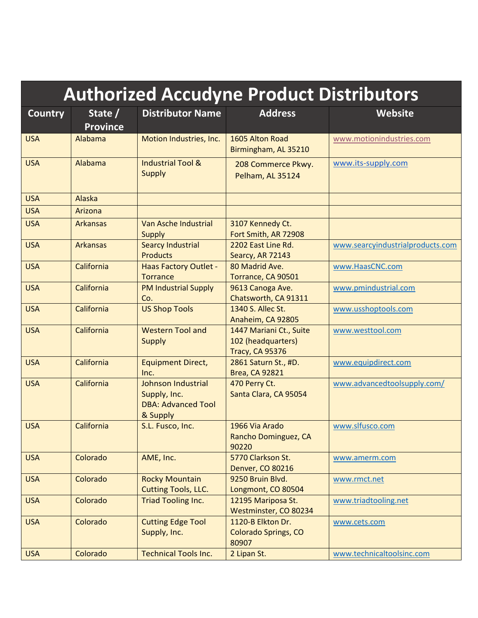| <b>Authorized Accudyne Product Distributors</b> |                            |                                                                                    |                                                                         |                                  |
|-------------------------------------------------|----------------------------|------------------------------------------------------------------------------------|-------------------------------------------------------------------------|----------------------------------|
| <b>Country</b>                                  | State /<br><b>Province</b> | <b>Distributor Name</b>                                                            | <b>Address</b>                                                          | <b>Website</b>                   |
| <b>USA</b>                                      | Alabama                    | Motion Industries, Inc.                                                            | 1605 Alton Road<br>Birmingham, AL 35210                                 | www.motionindustries.com         |
| <b>USA</b>                                      | Alabama                    | <b>Industrial Tool &amp;</b><br><b>Supply</b>                                      | 208 Commerce Pkwy.<br>Pelham, AL 35124                                  | www.its-supply.com               |
| <b>USA</b>                                      | Alaska                     |                                                                                    |                                                                         |                                  |
| <b>USA</b>                                      | Arizona                    |                                                                                    |                                                                         |                                  |
| <b>USA</b>                                      | <b>Arkansas</b>            | Van Asche Industrial<br>Supply                                                     | 3107 Kennedy Ct.<br>Fort Smith, AR 72908                                |                                  |
| <b>USA</b>                                      | <b>Arkansas</b>            | <b>Searcy Industrial</b><br><b>Products</b>                                        | 2202 East Line Rd.<br>Searcy, AR 72143                                  | www.searcyindustrialproducts.com |
| <b>USA</b>                                      | California                 | <b>Haas Factory Outlet -</b><br><b>Torrance</b>                                    | 80 Madrid Ave.<br>Torrance, CA 90501                                    | www.HaasCNC.com                  |
| <b>USA</b>                                      | California                 | <b>PM Industrial Supply</b><br>Co.                                                 | 9613 Canoga Ave.<br>Chatsworth, CA 91311                                | www.pmindustrial.com             |
| <b>USA</b>                                      | California                 | <b>US Shop Tools</b>                                                               | 1340 S. Allec St.<br>Anaheim, CA 92805                                  | www.usshoptools.com              |
| <b>USA</b>                                      | California                 | <b>Western Tool and</b><br><b>Supply</b>                                           | 1447 Mariani Ct., Suite<br>102 (headquarters)<br><b>Tracy, CA 95376</b> | www.westtool.com                 |
| <b>USA</b>                                      | California                 | <b>Equipment Direct,</b><br>Inc.                                                   | 2861 Saturn St., #D.<br><b>Brea, CA 92821</b>                           | www.equipdirect.com              |
| <b>USA</b>                                      | California                 | <b>Johnson Industrial</b><br>Supply, Inc.<br><b>DBA: Advanced Tool</b><br>& Supply | 470 Perry Ct.<br>Santa Clara, CA 95054                                  | www.advancedtoolsupply.com/      |
| <b>USA</b>                                      | California                 | S.L. Fusco, Inc.                                                                   | 1966 Via Arado<br>Rancho Dominguez, CA<br>90220                         | www.slfusco.com                  |
| <b>USA</b>                                      | Colorado                   | AME, Inc.                                                                          | 5770 Clarkson St.<br>Denver, CO 80216                                   | www.amerm.com                    |
| <b>USA</b>                                      | Colorado                   | <b>Rocky Mountain</b><br><b>Cutting Tools, LLC.</b>                                | 9250 Bruin Blvd.<br>Longmont, CO 80504                                  | www.rmct.net                     |
| <b>USA</b>                                      | Colorado                   | <b>Triad Tooling Inc.</b>                                                          | 12195 Mariposa St.<br>Westminster, CO 80234                             | www.triadtooling.net             |
| <b>USA</b>                                      | Colorado                   | <b>Cutting Edge Tool</b><br>Supply, Inc.                                           | 1120-B Elkton Dr.<br><b>Colorado Springs, CO</b><br>80907               | www.cets.com                     |
| <b>USA</b>                                      | Colorado                   | <b>Technical Tools Inc.</b>                                                        | 2 Lipan St.                                                             | www.technicaltoolsinc.com        |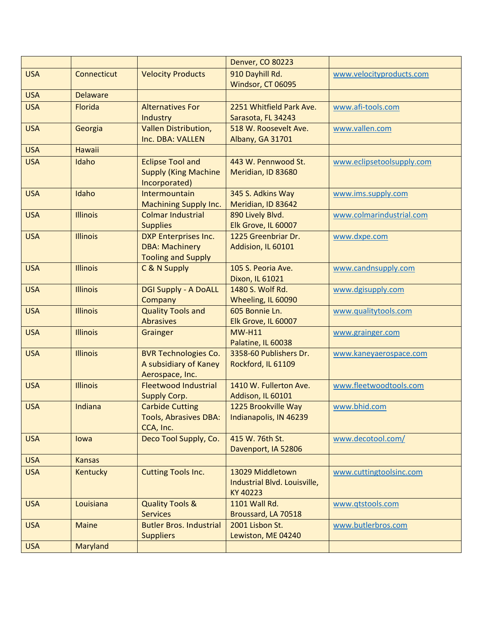|            |                 |                                                      | <b>Denver, CO 80223</b>                      |                           |
|------------|-----------------|------------------------------------------------------|----------------------------------------------|---------------------------|
| <b>USA</b> | Connecticut     | <b>Velocity Products</b>                             | 910 Dayhill Rd.                              | www.velocityproducts.com  |
|            |                 |                                                      | Windsor, CT 06095                            |                           |
| <b>USA</b> | <b>Delaware</b> |                                                      |                                              |                           |
| <b>USA</b> | Florida         | <b>Alternatives For</b>                              | 2251 Whitfield Park Ave.                     | www.afi-tools.com         |
|            |                 | Industry                                             | Sarasota, FL 34243                           |                           |
| <b>USA</b> | Georgia         | <b>Vallen Distribution,</b>                          | 518 W. Roosevelt Ave.                        | www.vallen.com            |
|            |                 | Inc. DBA: VALLEN                                     | Albany, GA 31701                             |                           |
| <b>USA</b> | <b>Hawaii</b>   |                                                      |                                              |                           |
| <b>USA</b> | Idaho           | <b>Eclipse Tool and</b>                              | 443 W. Pennwood St.                          | www.eclipsetoolsupply.com |
|            |                 | <b>Supply (King Machine</b>                          | Meridian, ID 83680                           |                           |
|            |                 | Incorporated)                                        |                                              |                           |
| <b>USA</b> | Idaho           | Intermountain                                        | 345 S. Adkins Way                            | www.ims.supply.com        |
|            |                 | <b>Machining Supply Inc.</b>                         | Meridian, ID 83642                           |                           |
| <b>USA</b> | <b>Illinois</b> | <b>Colmar Industrial</b>                             | 890 Lively Blvd.                             | www.colmarindustrial.com  |
|            |                 | <b>Supplies</b>                                      | Elk Grove, IL 60007                          |                           |
| <b>USA</b> | <b>Illinois</b> | <b>DXP Enterprises Inc.</b>                          | 1225 Greenbriar Dr.                          | www.dxpe.com              |
|            |                 | <b>DBA: Machinery</b>                                | Addision, IL 60101                           |                           |
|            |                 | <b>Tooling and Supply</b>                            |                                              |                           |
| <b>USA</b> | <b>Illinois</b> | C & N Supply                                         | 105 S. Peoria Ave.                           | www.candnsupply.com       |
|            |                 |                                                      | Dixon, IL 61021                              |                           |
| <b>USA</b> | <b>Illinois</b> | <b>DGI Supply - A DoALL</b>                          | 1480 S. Wolf Rd.                             | www.dgisupply.com         |
|            |                 | Company                                              | Wheeling, IL 60090                           |                           |
| <b>USA</b> | <b>Illinois</b> | <b>Quality Tools and</b>                             | 605 Bonnie Ln.                               | www.qualitytools.com      |
|            |                 | <b>Abrasives</b>                                     | Elk Grove, IL 60007                          |                           |
| <b>USA</b> | <b>Illinois</b> | Grainger                                             | <b>MW-H11</b>                                | www.grainger.com          |
| <b>USA</b> | <b>Illinois</b> |                                                      | Palatine, IL 60038<br>3358-60 Publishers Dr. |                           |
|            |                 | <b>BVR Technologies Co.</b><br>A subsidiary of Kaney | Rockford, IL 61109                           | www.kaneyaerospace.com    |
|            |                 | Aerospace, Inc.                                      |                                              |                           |
| <b>USA</b> | <b>Illinois</b> | <b>Fleetwood Industrial</b>                          | 1410 W. Fullerton Ave.                       | www.fleetwoodtools.com    |
|            |                 | <b>Supply Corp.</b>                                  | Addison, IL 60101                            |                           |
| <b>USA</b> | Indiana         | <b>Carbide Cutting</b>                               | 1225 Brookville Way                          | www.bhid.com              |
|            |                 | <b>Tools, Abrasives DBA:</b>                         | Indianapolis, IN 46239                       |                           |
|            |                 | CCA, Inc.                                            |                                              |                           |
| <b>USA</b> | lowa            | Deco Tool Supply, Co.                                | 415 W. 76th St.                              | www.decotool.com/         |
|            |                 |                                                      | Davenport, IA 52806                          |                           |
| <b>USA</b> | <b>Kansas</b>   |                                                      |                                              |                           |
| <b>USA</b> | <b>Kentucky</b> | <b>Cutting Tools Inc.</b>                            | 13029 Middletown                             | www.cuttingtoolsinc.com   |
|            |                 |                                                      | Industrial Blvd. Louisville,                 |                           |
|            |                 |                                                      | KY 40223                                     |                           |
| <b>USA</b> | Louisiana       | <b>Quality Tools &amp;</b>                           | 1101 Wall Rd.                                | www.qtstools.com          |
|            |                 | <b>Services</b>                                      | Broussard, LA 70518                          |                           |
| <b>USA</b> | <b>Maine</b>    | <b>Butler Bros. Industrial</b>                       | 2001 Lisbon St.                              | www.butlerbros.com        |
|            |                 | <b>Suppliers</b>                                     | Lewiston, ME 04240                           |                           |
| <b>USA</b> | Maryland        |                                                      |                                              |                           |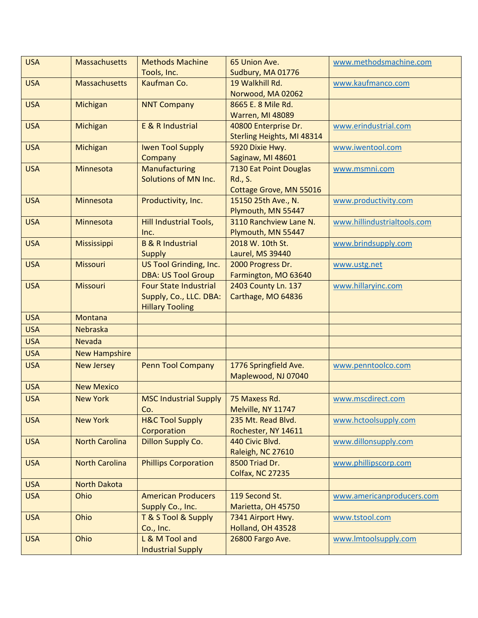| <b>USA</b> | <b>Massachusetts</b>  | <b>Methods Machine</b>        | 65 Union Ave.              | www.methodsmachine.com      |
|------------|-----------------------|-------------------------------|----------------------------|-----------------------------|
|            |                       | Tools, Inc.                   | Sudbury, MA 01776          |                             |
| <b>USA</b> | <b>Massachusetts</b>  | Kaufman Co.                   | 19 Walkhill Rd.            | www.kaufmanco.com           |
|            |                       |                               | Norwood, MA 02062          |                             |
| <b>USA</b> | Michigan              | <b>NNT Company</b>            | 8665 E. 8 Mile Rd.         |                             |
|            |                       |                               | <b>Warren, MI 48089</b>    |                             |
| <b>USA</b> | Michigan              | E & R Industrial              | 40800 Enterprise Dr.       | www.erindustrial.com        |
|            |                       |                               | Sterling Heights, MI 48314 |                             |
| <b>USA</b> | Michigan              | <b>Iwen Tool Supply</b>       | 5920 Dixie Hwy.            | www.iwentool.com            |
|            |                       | Company                       | Saginaw, MI 48601          |                             |
| <b>USA</b> | Minnesota             | Manufacturing                 | 7130 Eat Point Douglas     | www.msmni.com               |
|            |                       | Solutions of MN Inc.          | <b>Rd., S.</b>             |                             |
|            |                       |                               | Cottage Grove, MN 55016    |                             |
| <b>USA</b> | Minnesota             | Productivity, Inc.            | 15150 25th Ave., N.        | www.productivity.com        |
|            |                       |                               | Plymouth, MN 55447         |                             |
| <b>USA</b> | Minnesota             | <b>Hill Industrial Tools,</b> | 3110 Ranchview Lane N.     | www.hillindustrialtools.com |
|            |                       | Inc.                          | Plymouth, MN 55447         |                             |
| <b>USA</b> | Mississippi           | <b>B &amp; R Industrial</b>   | 2018 W. 10th St.           | www.brindsupply.com         |
|            |                       | <b>Supply</b>                 | Laurel, MS 39440           |                             |
| <b>USA</b> | <b>Missouri</b>       | US Tool Grinding, Inc.        | 2000 Progress Dr.          | www.ustg.net                |
|            |                       | <b>DBA: US Tool Group</b>     | Farmington, MO 63640       |                             |
| <b>USA</b> | <b>Missouri</b>       | <b>Four State Industrial</b>  | 2403 County Ln. 137        | www.hillaryinc.com          |
|            |                       | Supply, Co., LLC. DBA:        | Carthage, MO 64836         |                             |
|            |                       | <b>Hillary Tooling</b>        |                            |                             |
| <b>USA</b> | Montana               |                               |                            |                             |
| <b>USA</b> | Nebraska              |                               |                            |                             |
| <b>USA</b> | <b>Nevada</b>         |                               |                            |                             |
| <b>USA</b> | <b>New Hampshire</b>  |                               |                            |                             |
| <b>USA</b> | <b>New Jersey</b>     | <b>Penn Tool Company</b>      | 1776 Springfield Ave.      | www.penntoolco.com          |
|            |                       |                               | Maplewood, NJ 07040        |                             |
| <b>USA</b> | <b>New Mexico</b>     |                               |                            |                             |
| <b>USA</b> | <b>New York</b>       | <b>MSC Industrial Supply</b>  | 75 Maxess Rd.              | www.mscdirect.com           |
|            |                       | Co.                           | Melville, NY 11747         |                             |
| <b>USA</b> | <b>New York</b>       | <b>H&amp;C Tool Supply</b>    | 235 Mt. Read Blvd.         | www.hctoolsupply.com        |
|            |                       | Corporation                   | Rochester, NY 14611        |                             |
| <b>USA</b> | <b>North Carolina</b> | Dillon Supply Co.             | 440 Civic Blvd.            | www.dillonsupply.com        |
|            |                       |                               | Raleigh, NC 27610          |                             |
| <b>USA</b> | <b>North Carolina</b> | <b>Phillips Corporation</b>   | 8500 Triad Dr.             | www.phillipscorp.com        |
|            |                       |                               | <b>Colfax, NC 27235</b>    |                             |
| <b>USA</b> | <b>North Dakota</b>   |                               |                            |                             |
| <b>USA</b> | Ohio                  | <b>American Producers</b>     | 119 Second St.             | www.americanproducers.com   |
|            |                       | Supply Co., Inc.              | Marietta, OH 45750         |                             |
| <b>USA</b> | Ohio                  | T & S Tool & Supply           | 7341 Airport Hwy.          | www.tstool.com              |
|            |                       | Co., Inc.                     | Holland, OH 43528          |                             |
| <b>USA</b> | Ohio                  | L & M Tool and                | 26800 Fargo Ave.           | www.lmtoolsupply.com        |
|            |                       | <b>Industrial Supply</b>      |                            |                             |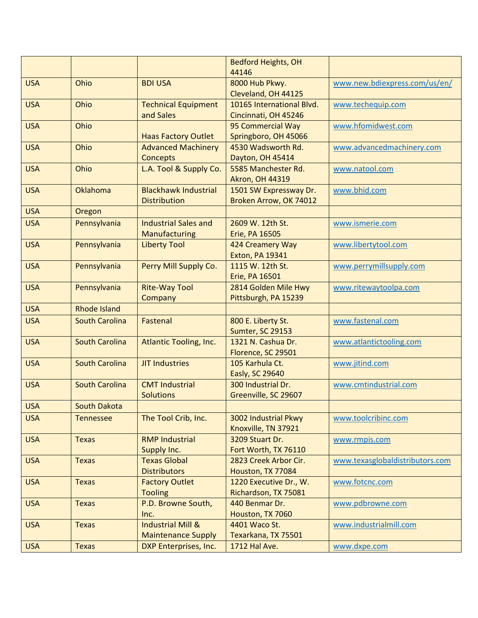|            |                       |                               | <b>Bedford Heights, OH</b> |                                 |
|------------|-----------------------|-------------------------------|----------------------------|---------------------------------|
|            |                       |                               | 44146                      |                                 |
| <b>USA</b> | Ohio                  | <b>BDI USA</b>                | 8000 Hub Pkwy.             | www.new.bdiexpress.com/us/en/   |
|            |                       |                               | Cleveland, OH 44125        |                                 |
| <b>USA</b> | Ohio                  | <b>Technical Equipment</b>    | 10165 International Blvd.  | www.techequip.com               |
|            |                       | and Sales                     | Cincinnati, OH 45246       |                                 |
| <b>USA</b> | Ohio                  |                               | 95 Commercial Way          | www.hfomidwest.com              |
|            |                       | <b>Haas Factory Outlet</b>    | Springboro, OH 45066       |                                 |
| <b>USA</b> | Ohio                  | <b>Advanced Machinery</b>     | 4530 Wadsworth Rd.         | www.advancedmachinery.com       |
|            |                       | <b>Concepts</b>               | Dayton, OH 45414           |                                 |
| <b>USA</b> | Ohio                  | L.A. Tool & Supply Co.        | 5585 Manchester Rd.        | www.natool.com                  |
|            |                       |                               | <b>Akron, OH 44319</b>     |                                 |
| <b>USA</b> | Oklahoma              | <b>Blackhawk Industrial</b>   | 1501 SW Expressway Dr.     | www.bhid.com                    |
|            |                       | <b>Distribution</b>           | Broken Arrow, OK 74012     |                                 |
| <b>USA</b> | Oregon                |                               |                            |                                 |
| <b>USA</b> | Pennsylvania          | <b>Industrial Sales and</b>   | 2609 W. 12th St.           | www.ismerie.com                 |
|            |                       | Manufacturing                 | Erie, PA 16505             |                                 |
| <b>USA</b> | Pennsylvania          | <b>Liberty Tool</b>           | 424 Creamery Way           | www.libertytool.com             |
|            |                       |                               | <b>Exton, PA 19341</b>     |                                 |
| <b>USA</b> | Pennsylvania          | Perry Mill Supply Co.         | 1115 W. 12th St.           | www.perrymillsupply.com         |
|            |                       |                               | Erie, PA 16501             |                                 |
| <b>USA</b> | Pennsylvania          | <b>Rite-Way Tool</b>          | 2814 Golden Mile Hwy       | www.ritewaytoolpa.com           |
|            |                       | Company                       | Pittsburgh, PA 15239       |                                 |
| <b>USA</b> | <b>Rhode Island</b>   |                               |                            |                                 |
| <b>USA</b> | <b>South Carolina</b> | Fastenal                      | 800 E. Liberty St.         | www.fastenal.com                |
|            |                       |                               | Sumter, SC 29153           |                                 |
| <b>USA</b> | <b>South Carolina</b> | <b>Atlantic Tooling, Inc.</b> | 1321 N. Cashua Dr.         | www.atlantictooling.com         |
|            |                       |                               | Florence, SC 29501         |                                 |
| <b>USA</b> | <b>South Carolina</b> | <b>JIT Industries</b>         | 105 Karhula Ct.            | www.jitind.com                  |
|            |                       |                               | Easly, SC 29640            |                                 |
| <b>USA</b> | <b>South Carolina</b> | <b>CMT Industrial</b>         | 300 Industrial Dr.         | www.cmtindustrial.com           |
|            |                       | <b>Solutions</b>              | Greenville, SC 29607       |                                 |
| <b>USA</b> | <b>South Dakota</b>   |                               |                            |                                 |
| <b>USA</b> | <b>Tennessee</b>      | The Tool Crib, Inc.           | 3002 Industrial Pkwy       | www.toolcribinc.com             |
|            |                       |                               | Knoxville, TN 37921        |                                 |
| <b>USA</b> | <b>Texas</b>          | <b>RMP Industrial</b>         | 3209 Stuart Dr.            | www.rmpis.com                   |
|            |                       | Supply Inc.                   | Fort Worth, TX 76110       |                                 |
| <b>USA</b> | <b>Texas</b>          | <b>Texas Global</b>           | 2823 Creek Arbor Cir.      | www.texasglobaldistributors.com |
|            |                       | <b>Distributors</b>           | Houston, TX 77084          |                                 |
| <b>USA</b> | <b>Texas</b>          | <b>Factory Outlet</b>         | 1220 Executive Dr., W.     | www.fotcnc.com                  |
|            |                       | <b>Tooling</b>                | Richardson, TX 75081       |                                 |
| <b>USA</b> | <b>Texas</b>          | P.D. Browne South,            | 440 Benmar Dr.             | www.pdbrowne.com                |
|            |                       | Inc.                          | Houston, TX 7060           |                                 |
| <b>USA</b> | <b>Texas</b>          | <b>Industrial Mill &amp;</b>  | 4401 Waco St.              | www.industrialmill.com          |
|            |                       | <b>Maintenance Supply</b>     | Texarkana, TX 75501        |                                 |
| <b>USA</b> | <b>Texas</b>          | DXP Enterprises, Inc.         | 1712 Hal Ave.              | www.dxpe.com                    |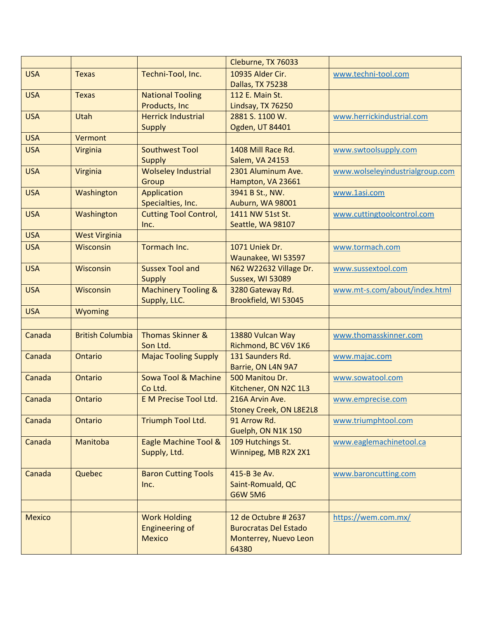|               |                         |                                | Cleburne, TX 76033             |                                 |
|---------------|-------------------------|--------------------------------|--------------------------------|---------------------------------|
| <b>USA</b>    | <b>Texas</b>            | Techni-Tool, Inc.              | 10935 Alder Cir.               | www.techni-tool.com             |
|               |                         |                                | Dallas, TX 75238               |                                 |
| <b>USA</b>    | <b>Texas</b>            | <b>National Tooling</b>        | 112 E. Main St.                |                                 |
|               |                         | <b>Products, Inc</b>           | Lindsay, TX 76250              |                                 |
| <b>USA</b>    | Utah                    | <b>Herrick Industrial</b>      | 2881 S. 1100 W.                | www.herrickindustrial.com       |
|               |                         | <b>Supply</b>                  | Ogden, UT 84401                |                                 |
| <b>USA</b>    | Vermont                 |                                |                                |                                 |
| <b>USA</b>    | <b>Virginia</b>         | <b>Southwest Tool</b>          | 1408 Mill Race Rd.             | www.swtoolsupply.com            |
|               |                         | <b>Supply</b>                  | <b>Salem, VA 24153</b>         |                                 |
| <b>USA</b>    | Virginia                | <b>Wolseley Industrial</b>     | 2301 Aluminum Ave.             | www.wolseleyindustrialgroup.com |
|               |                         | Group                          | Hampton, VA 23661              |                                 |
| <b>USA</b>    | Washington              | Application                    | 3941 B St., NW.                | www.1asi.com                    |
|               |                         | Specialties, Inc.              | Auburn, WA 98001               |                                 |
| <b>USA</b>    | Washington              | <b>Cutting Tool Control,</b>   | 1411 NW 51st St.               | www.cuttingtoolcontrol.com      |
|               |                         | Inc.                           | Seattle, WA 98107              |                                 |
| <b>USA</b>    | <b>West Virginia</b>    |                                |                                |                                 |
| <b>USA</b>    | Wisconsin               | Tormach Inc.                   | 1071 Uniek Dr.                 | www.tormach.com                 |
|               |                         |                                | Waunakee, WI 53597             |                                 |
| <b>USA</b>    | <b>Wisconsin</b>        | <b>Sussex Tool and</b>         | N62 W22632 Village Dr.         | www.sussextool.com              |
|               |                         | <b>Supply</b>                  | Sussex, WI 53089               |                                 |
| <b>USA</b>    | <b>Wisconsin</b>        | <b>Machinery Tooling &amp;</b> | 3280 Gateway Rd.               | www.mt-s.com/about/index.html   |
|               |                         | Supply, LLC.                   | Brookfield, WI 53045           |                                 |
| <b>USA</b>    | Wyoming                 |                                |                                |                                 |
|               |                         |                                |                                |                                 |
| Canada        | <b>British Columbia</b> | <b>Thomas Skinner &amp;</b>    | 13880 Vulcan Way               | www.thomasskinner.com           |
|               |                         | Son Ltd.                       | Richmond, BC V6V 1K6           |                                 |
| Canada        | Ontario                 | <b>Majac Tooling Supply</b>    | 131 Saunders Rd.               | www.majac.com                   |
|               |                         |                                | Barrie, ON L4N 9A7             |                                 |
| Canada        | Ontario                 | <b>Sowa Tool &amp; Machine</b> | 500 Manitou Dr.                | www.sowatool.com                |
|               |                         | Co Ltd.                        | Kitchener, ON N2C 1L3          |                                 |
| Canada        | Ontario                 | <b>E M Precise Tool Ltd.</b>   | 216A Arvin Ave.                | www.emprecise.com               |
|               |                         |                                | <b>Stoney Creek, ON L8E2L8</b> |                                 |
| Canada        | Ontario                 | Triumph Tool Ltd.              | 91 Arrow Rd.                   | www.triumphtool.com             |
|               |                         |                                | Guelph, ON N1K 1S0             |                                 |
| Canada        | Manitoba                | Eagle Machine Tool &           | 109 Hutchings St.              | www.eaglemachinetool.ca         |
|               |                         | Supply, Ltd.                   | Winnipeg, MB R2X 2X1           |                                 |
|               |                         |                                |                                |                                 |
| Canada        | Quebec                  | <b>Baron Cutting Tools</b>     | 415-B 3e Av.                   | www.baroncutting.com            |
|               |                         | Inc.                           | Saint-Romuald, QC              |                                 |
|               |                         |                                | <b>G6W 5M6</b>                 |                                 |
|               |                         |                                |                                |                                 |
| <b>Mexico</b> |                         | <b>Work Holding</b>            | 12 de Octubre # 2637           | https://wem.com.mx/             |
|               |                         | <b>Engineering of</b>          | <b>Burocratas Del Estado</b>   |                                 |
|               |                         | <b>Mexico</b>                  | Monterrey, Nuevo Leon          |                                 |
|               |                         |                                | 64380                          |                                 |